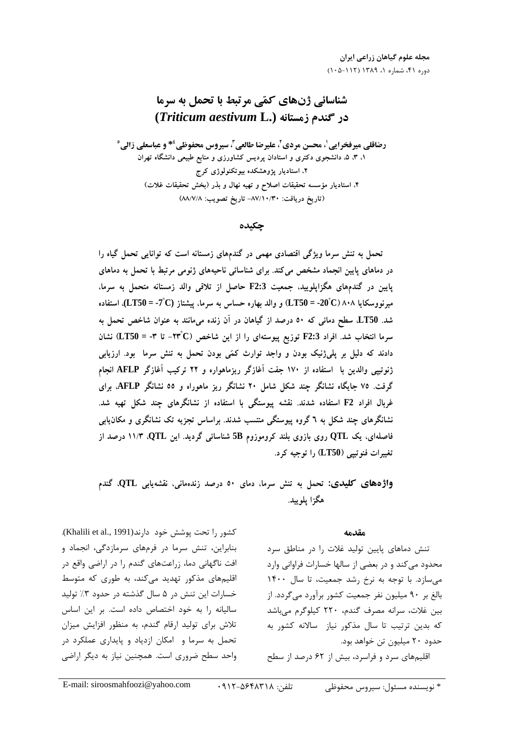# شناسائی ژنهای کمّی مرتبط با تحمل به سرما در گندم زمستانه (Triticum aestivum L.)

رضاقلي مير فخرايي'، محسن مردي'، عليرضا طالعي<sup>"</sup>، سيروس محفوظي<sup>؛ ۞</sup> و عباسعلي زالي° ۱، ۳، ۵، دانشجوی دکتری و استادان پردیس کشاورزی و منابع طبیعی دانشگاه تهران ۲، استادیار پژوهشکده بیوتکنولوژی کرج ۴. استادیار مؤسسه تحقیقات اصلاح و تهیه نهال و بذر (بخش تحقیقات غلات) (تاريخ دريافت: ۸۷/۱۰/۳۰- تاريخ تصويب: ۸۸/۷/۸)

#### جكىدە

تحمل به تنش سرما ویژگی اقتصادی مهمی در گندمهای زمستانه است که توانایی تحمل گیاه را در دماهای پایین انجماد مشخص میکند. برای شناسائی ناحیههای ژنومی مرتبط با تحمل به دماهای پایین در گندمهای هگزاپلویید، جمعیت F2:3 حاصل از تلاقی والد زمستانه متحمل به سرما، میرنووسکایا ۸۰۸ (C $\rm 20^{\circ}$ C) = -20 و والد بهاره حساس به سرما، پیشتاز (LT50 = -7  $\rm C$ )، استفاده شد. LT50 سطح دمائی که ٥٠ درصد از گیاهان در آن زنده میمانند به عنوان شاخص تحمل به سرما انتخاب شد. افراد F2:3 توزیع پیوستهای را از این شاخص (T۳ °C) - تا ۳- = LT50) نشان دادند که دلیل بر پلیژنیک بودن و واجد توارث کمّی بودن تحمل به تنش سرما بود. ارزیابی ژنوتیپی والدین با استفاده از ۱۷۰ جفت آغازگر ریزماهواره و ۲۲ ترکیب آغازگر AFLP انجام گرفت. ۷۵ جایگاه نشانگر چند شکل شامل ۲۰ نشانگر ریز ماهوراه و ٥٥ نشانگر AFLP، برای غربال افراد F2 استفاده شدند. نقشه پیوستگی با استفاده از نشانگرهای چند شکل تهیه شد. نشانگرهای چند شکل به ٦ گروه پیوستگی منتسب شدند. براساس تجزیه تک نشانگری و مکان یابی فاصلهای، یک QTL روی بازوی بلند کروموزوم 5B شناسائی گردید. این QTL، ۱۱/۳ درصد از تغییرات فنوتییی (LT50) را توجیه کرد.

واژههای کلیدی: تحمل به تنش سرما، دمای ٥٠ درصد زندهمانی، نقشهیابی QTL، گندم هگزا پلوپيد.

#### مقدمه

تنش دماهای پایین تولید غلات را در مناطق سرد محدود میکند و در بعضی از سالها خسارات فراوانی وارد می سازد. با توجه به نرخ رشد جمعیت، تا سال ۱۴۰۰ بالغ بر ۹۰ میلیون نفر جمعیت کشور برآورد میگردد. از بین غلات، سرانه مصرف گندم، ۲۲۰ کیلوگرم می باشد که بدین ترتیب تا سال مذکور نیاز سالانه کشور به حدود ۲۰ میلیون تن خواهد بود.

اقلیمهای سرد و فراسرد، بیش از ۶۲ درصد از سطح

كشور را تحت پوشش خود دارند(Khalili et al., 1991). بنابراین، تنش سرما در فرمهای سرمازدگی، انجماد و افت ناگهانی دما، زراعتهای گندم را در اراضی واقع در اقلیمهای مذکور تهدید می کند، به طوری که متوسط خسارات این تنش در ۵ سال گذشته در حدود ۳٪ تولید سالیانه را به خود اختصاص داده است. بر این اساس تلاش برای تولید ارقام گندم، به منظور افزایش میزان تحمل به سرما و امکان ازدیاد و پایداری عملکرد در واحد سطح ضروری است. همچنین نیاز به دیگر اراضی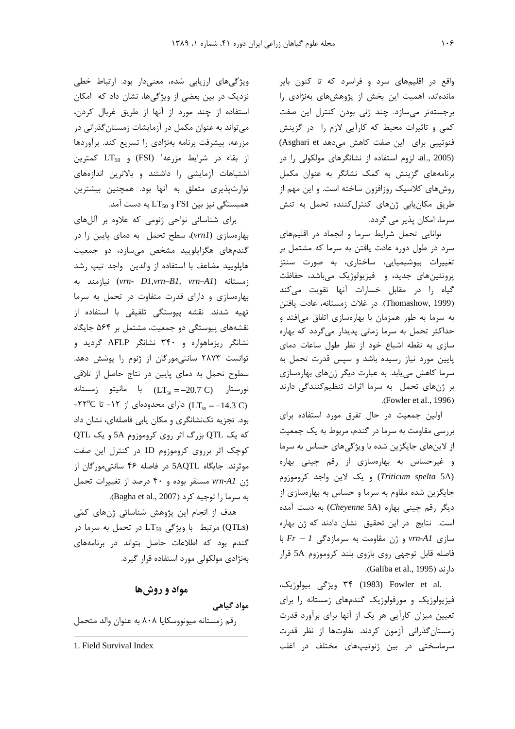واقع در اقلیمهای سرد و فراسرد که تا کنون بایر ماندهاند، اهمیت این بخش از پژوهشهای بهنژادی را برجستهتر می سازد. چند ژنی بودن کنترل این صفت کمی و تاثیرات محیط که کارآیی لازم را در گزینش فنوتيبي براي اين صفت كاهش مى دهد Asghari et) (al., 2005)، لزوم استفاده از نشانگرهای مولکولی را در برنامههای گزینش به کمک نشانگر به عنوان مکمل روشهای کلاسیک روزافزون ساخته است. و این مهم از طریق مکان یابی ژنهای کنترل کننده تحمل به تنش سرما، امکان پذیر می گردد.

توانایی تحمل شرایط سرما و انجماد در اقلیمهای سرد در طول دوره عادت یافتن به سرما که مشتمل بر تغییرات بیوشیمیایی، ساختاری، به صورت سنتز پروتئینهای جدید، و فیزیولوژیک میباشد، حفاظت گیاه را در مقابل خسارات آنها تقویت میکند (Thomashow, 1999). در غلات زمستانه، عادت یافتن به سرما به طور همزمان با بهارهسازی اتفاق می افتد و حداکثر تحمل به سرما زمانی پدیدار میگردد که بهاره سازی به نقطه اشباع خود از نظر طول ساعات دمای پایین مورد نیاز رسیده باشد و سپس قدرت تحمل به سرما کاهش می یابد. به عبارت دیگر ژنهای بهارهسازی بر ژنهای تحمل به سرما اثرات تنظیم کنندگی دارند .(Fowler et al., 1996)

اولین جمعیت در حال تفرق مورد استفاده برای بررسی مقاومت به سرما در گندم، مربوط به یک جمعیت از لاینهای جایگزین شده با ویژگیهای حساس به سرما و غیرحساس به بهارهسازی از رقم چینی بهاره (Triticum spelta 5A) ويك لاين واجد كروموزوم جایگزین شده مقاوم به سرما و حساس به بهارهسازی از دیگر رقم چینی بهاره (Cheyenne 5A) به دست آمده است. نتایج در این تحقیق نشان دادند که ژن بهاره  $Fr - I$  سازی vrn-Al و ژن مقاومت به سرمازدگی فاصله قابل توجهي روى بازوى بلند كروموزوم 5A قرار دارند (Galiba et al., 1995).

.۳۴ (1983) Fowler et al ویژگی بیولوژیک، فیزیولوژیک و مورفولوژیک گندمهای زمستانه را برای تعیین میزان کارآیی هر یک از آنها برای برآورد قدرت زمستان گذرانی آزمون کردند. تفاوتها از نظر قدرت سرماسختی در بین ژنوتیپهای مختلف در اغلب

ویژگیهای ارزیابی شده، معنیدار بود. ارتباط خطی نزدیک در بین بعضی از ویژگیها، نشان داد که امکان استفاده از چند مورد از آنها از طريق غربال كردن، می تواند به عنوان مکمل در آزمایشات زمستان گذرانی در مزرعه، پیشرفت برنامه بهنژادی را تسریع کند. برآوردها از بقاء در شرایط مزرعه<sup>(</sup> (FSI) و LT<sub>50</sub> كمترين اشتباهات آزمایشی را داشتند و بالاترین اندازههای توارثپذیری متعلق به آنها بود. همچنین بیشترین همبستگی نیز بین FSI و LT50 به دست آمد.

برای شناسائی نواحی ژنومی که علاوه بر آللهای بهارهسازی (vrn1)، سطح تحمل به دمای پایین را در گندمهای هگزایلویید مشخص می سازد، دو جمعیت هاپلویید مضاعف با استفاده از والدین واجد تیپ رشد نيازمند به (vrn-  $D1$ , vrn-B1, vrn-A1) نيازمند به بهارهسازی و دارای قدرت متفاوت در تحمل به سرما تهیه شدند. نقشه پیوستگی تلفیقی با استفاده از نقشههای پیوستگی دو جمعیت، مشتمل بر ۵۶۴ جایگاه نشانگر ریزماهواره و ۳۴۰ نشانگر AFLP گردید و توانست ٢٨٧٣ سانتي موركان از ژنوم را پوشش دهد. سطوح تحمل به دمای پایین در نتاج حاصل از تلاقی  $LT_{50} = -20.7^{\circ}C$  نورستار ( $LT_{50} = -20.7^{\circ}C$ ) -۲۲°C دارای محدودهای از ۱۲- تا ۲۳°C-بود. تجزیه تکنشانگری و مکان پابی فاصلهای، نشان داد که یک QTL بزرگ اثر روی کروموزوم 5A و یک QTL کوچک اثر برروی کروموزوم 1D در کنترل این صفت موثرند. جایگاه 5AQTL در فاصله ۴۶ سانتی مورگان از  $j$ ن vrn-A1 مستقر بوده و ۴۰ درصد از تغییرات تحمل به سرما را توجيه كرد (Bagha et al., 2007).

هدف از انجام این پژوهش شناسائی ژنهای کمّی مرتبط با ویژگی LT50 در تحمل به سرما در (QTLs) گندم بود که اطلاعات حاصل بتواند در برنامههای بهنژادی مولکولی مورد استفاده قرار گیرد.

## مواد و روشها

مواد گیاهی

رقم زمستانه میونووسکایا ۸۰۸ به عنوان والد متحمل

<sup>1.</sup> Field Survival Index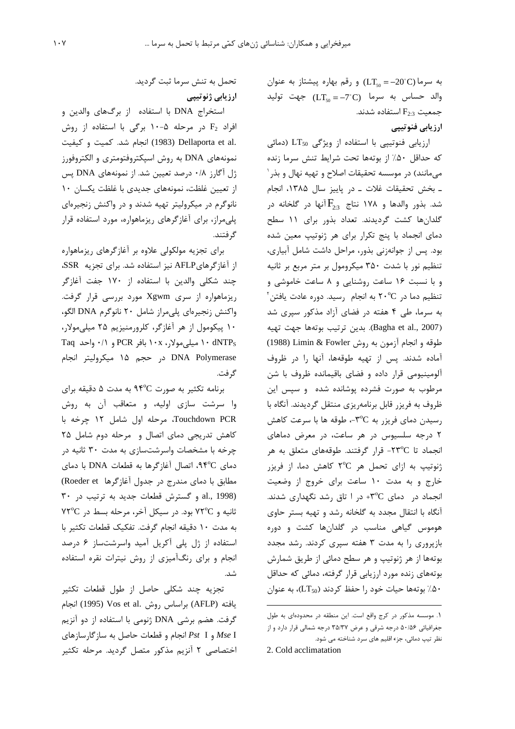به سرما (LT50 = -20°C) و رقم بهاره پیشتاز به عنوان والد حساس به سرما (LT50 =-7°C) جهت توليد  $F_{2:3}$  جمعیت  $F_{2:3}$  استفاده شدند.

### ارزیابی فنوتیپی

ارزیابی فنوتییی با استفاده از ویژگی LT50 (دمائی كه حداقل ۵۰٪ از بوتهها تحت شرايط تنش سرما زنده میمانند) در موسسه تحقیقات اصلاح و تهیه نهال و بذر ۱ ـ بخش تحقيقات غلات ـ در پاييز سال ۱۳۸۵، انجام شد. بذور والدها و ۱۷۸ نتاج  $F_{2\cdot3}$ آنها در گلخانه در گلدانها کشت گردیدند. تعداد بذور برای ۱۱ سطح دمای انجماد با پنج تکرار برای هر ژنوتیپ معین شده بود. پس از جوانهزنی بذور، مراحل داشت شامل آبیاری، تنظیم نور با شدت ۳۵۰ میکرومول بر متر مربع بر ثانیه و با نسبت ١۶ ساعت روشنایی و ٨ ساعت خاموشی و  $\mathrm{v}^{\mathrm{c}}$ تنظیم دما در ٢٠°C به انجام رسید. دوره عادت یافتن به سرما، طی ۴ هفته در فضای آزاد مذکور سپری شد (Bagha et al., 2007). بدين ترتيب بوتهها جهت تهيه طوقه و انجام آزمون به روش Limin & Fowler (1988) آماده شدند. پس از تهیه طوقهها، آنها را در ظروف آلومینیومی قرار داده و فضای باقیمانده ظروف با شن مرطوب به صورت فشرده یوشانده شده و سیس این ظروف به فریزر قابل برنامهریزی منتقل گردیدند. آنگاه با رسیدن دمای فریزر به ۳°C-، طوقه ها با سرعت کاهش ۲ درجه سلسیوس در هر ساعت، در معرض دماهای انجماد تا ٢٣°C- قرار گرفتند. طوقههای متعلق به هر ژنوتیپ به ازای تحمل هر ٢°٢ كاهش دما، از فريزر خارج و به مدت ۱۰ ساعت برای خروج از وضعیت انجماد در دمای ۳°C+ در ۱ تاق رشد نگهداری شدند. آنگاه با انتقال مجدد به گلخانه رشد و تهیه بستر حاوی هوموس گیاهی مناسب در گلدانها کشت و دوره بازیروری را به مدت ۳ هفته سیری کردند. رشد مجدد بوتهها از هر ژنوتیپ و هر سطح دمائی از طریق شمارش بوتههای زنده مورد ارزیابی قرار گرفته، دمائی که حداقل استان خود را حفظ کردند (LT50)، به عنوان (LT50)،  $\sim$ 

تحمل به تنش سرما ثبت گردید. ارزیابی ژنوتیپی

استخراج DNA با استفاده از برگهای والدین و افراد F2 در مرحله ۵-۱۰ برگی با استفاده از روش .Dellaporta et al (1983) Dellaporta et al نمونههای DNA به روش اسپکتروفتومتری و الکتروفورز ژل آگارز ۰/۸ درصد تعیین شد. از نمونههای DNA پس از تعیین غلظت، نمونههای جدیدی با غلظت یکسان ۱۰ نانوگرم در میکرولیتر تهیه شدند و در واکنش زنجیرهای پلیمراز، برای آغازگرهای ریزماهواره، مورد استفاده قرار گر فتند.

برای تجزیه مولکولی علاوه بر آغازگرهای ریزماهواره از آغازگرهایAFLP نیز استفاده شد. برای تجزیه SSR، چند شکلی والدین با استفاده از ۱۷۰ جفت آغازگر ریزماهواره از سری Xgwm مورد بررسی قرار گرفت. واكنش زنجيرهاي پلي مراز شامل ٢٠ نانوگرم DNA الگو، ۱۰ پیکومول از هر آغازگر، کلرورمنیزیم ۲۵ میلی مولار، ۱۰ dNTPs و ۰/۱ واحد Taq و ۰/۱ واحد Taq DNA Polymerase در حجم ۱۵ میکرولیتر انجام گر فت.

برنامه تكثير به صورت ٩۴°C به مدت ۵ دقيقه براي وا سرشت سازی اولیه، و متعاقب آن به روش Touchdown PCR، مرحله اول شامل ١٢ چرخه با كاهش تدريجي دماى اتصال و مرحله دوم شامل ٢٥ چرخه با مشخصات واسرشتسازی به مدت ۳۰ ثانیه در دمای ۹۴°C، اتصال آغازگرها به قطعات DNA با دمای مطابق با دمای مندرج در جدول آغازگرها Roeder et) al., 1998) و گسترش قطعات جدید به ترتیب در ٣٠ ثانیه و ۷۲°C بود. در سیکل آخر، مرحله بسط در ۷۲°C به مدت ١٠ دقيقه انجام گرفت. تفكيك قطعات تكثير با استفاده از ژل پلی آکریل آمید واسرشتساز ۶ درصد انجام و برای رنگآمیزی از روش نیترات نقره استفاده شد.

تجزیه چند شکلی حاصل از طول قطعات تکثیر يافته (AFLP) براساس روش .Vos et al (1995) انجام گرفت. هضم برشی DNA ژنومی با استفاده از دو آنزیم و Pst I انجام و قطعات حاصل به سازگارسازهای Pst I اختصاصی ۲ آنزیم مذکور متصل گردید. مرحله تکثیر

١. موسسه مذكور در كرج واقع است. اين منطقه در محدودهاى به طول جغرافیائی ۵۰/۵۶ درجه شرقی و عرض ۳۵/۳۷ درجه شمالی قرار دارد و از نظر تیپ دمائی، جزء اقلیم های سرد شناخته می شود.

<sup>2.</sup> Cold acclimatation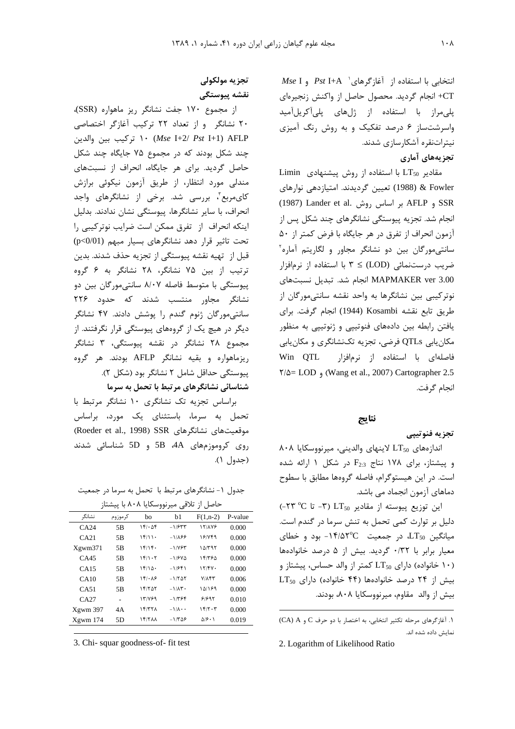$Mse$  I و Pst I+A  $^{\circ}$ رهای $^{\circ}$  Pst I+A و استفاده از CT+ انجام گردید. محصول حاصل از واکنش زنجیرهای یلی مراز با استفاده از ژلهای پلی آکریل آمید واسرشتساز ۶ درصد تفکیک و به روش رنگ آمیزی نیتراتنقره آشکارسازی شدند. تحزيههاي آماري

Limin مقادیر LT50 با استفاده از روش پیشنهادی & Fowler & (1988) تعیین گردیدند. امتیازدهی نوارهای (1987 و AFLP بر اساس روش, Lander et al. انجام شد. تجزیه پیوستگی نشانگرهای چند شکل پس از آزمون انحراف از تفرق در هر جایگاه با فرض کمتر از ۵۰ سانتی مورگان بین دو نشانگر مجاور و لگاریتم آماره ضریب درستنمائی (LOD) ≥ ۳ با استفاده از نرمافزار MAPMAKER ver 3.00 انجام شد. تبدیل نسبتهای نوترکیبی بین نشانگرها به واحد نقشه سانتی مورگان از طريق تابع نقشه Kosambi (1944) انجام گرفت. براي یافتن رابطه بین دادههای فنوتییی و ژنوتییی به منظور مکان یابی QTLs فرضی، تجزیه تکنشانگری و مکان یابی فاصلهای با استفاده از نرمافزار Win QTL  $\frac{1}{2}$  (Wang et al., 2007) Cartographer 2.5 انجام گرفت.

#### نتايج

#### تجزيه فنوتييي

 $\lambda \cdot \lambda$  انداز مهای  $LT_{50}$  لاینهای والدینی، میرنووسکایا و پیشتاز، برای ۱۷۸ نتاج  $F_{2:3}$  در شکل ۱ ارائه شده است. در این هیستوگرام، فاصله گروهها مطابق با سطوح دماهای آزمون انجماد می باشد.

این توزیع پیوسته از مقادیر LT50 (٣- تا ٣٥ ٢٣-) دلیل بر توارث کمی تحمل به تنش سرما در گندم است.  $LT_{50}$  میانگین LT<sub>50</sub>، در جمعیت 1۴/۵۲°C بود و خطای معيار برابر با ٠/٣٢ كرديد. بيش از ۵ درصد خانوادهها ا خانواده) دارای LT50 کمتر از والد حساس، پیشتاز و UT50 دارای دار  $LT_{50}$  بیش از ۲۴ درصد خانوادهها (۴۴ خانواده) دارای بيش از والد مقاوم، ميرنووسكايا ٨٠٨، بودند.

## تجزيه مولكولي نقشه ييوستگى

از مجموع ۱۷۰ جفت نشانگر ریز ماهواره (SSR)، ۲۰ نشانگر و از تعداد ۲۲ ترکیب آغازگر اختصاصی ۱۰ (Mse I+2/ Pst I+1) AFLP تركيب بين والدين چند شکل بودند که در مجموع ۷۵ جایگاه چند شکل حاصل گردید. برای هر جایگاه، انحراف از نسبتهای مندلی مورد انتظار، از طریق آزمون نیکوئی برازش کایمربع"، بررسی شد. برخی از نشانگرهای واجد انحراف، با سایر نشانگرها، پیوستگی نشان ندادند. بدلیل اینکه انحراف از تفرق ممکن است ضرایب نوترکیبی را تحت تاثیر قرار دهد نشانگرهای بسیار مبهم (p<0/01) قبل از تهيه نقشه پيوستگي از تجزيه حذف شدند. بدين ترتیب از بین ۷۵ نشانگر، ۲۸ نشانگر به ۶ گروه پیوستگی با متوسط فاصله ۸/۰۷ سانتی مورگان بین دو نشانگر مجاور منتسب شدند که حدود ۲۲۶ سانتی مورگان ژنوم گندم را پوشش دادند. ۴۷ نشانگر دیگر در هیچ یک از گروههای پیوستگی قرار نگرفتند. از مجموع ۲۸ نشانگر در نقشه پیوستگی، ۳ نشانگر ریزماهواره و بقیه نشانگر AFLP بودند. هر گروه پیوستگی حداقل شامل ۲ نشانگر بود (شکل ۲). شناسائی نشانگرهای مرتبط با تحمل به سرما

براساس تجزيه تک نشانگرى ١٠ نشانگر مرتبط با تحمل به سرما، باستثنای یک مورد، براساس (Roeder et al., 1998) SSR دوقعیتهای نشانگرهای روی کروموزمهای 4A، 5B و 5D شناسائی شدند (جدول ۱).

جدول ۱- نشانگرهای مرتبط با تحمل به سرما در جمعیت حاصل از تلاقی میرنووسکایا ۸۰۸ با پیشتاز

| ◢        | $\cdots$ |                      | ,, ,<br>ີ                |                |         |
|----------|----------|----------------------|--------------------------|----------------|---------|
| نشانگر   | كرموزوم  | bo                   | b1                       | $F(1, n-2)$    | P-value |
| CA24     | 5B       | 151.08               | $-1/577$                 | 17/178         | 0.000   |
| CA21     | 5B       | 15/11                | $-1/\lambda$ ۶۶          | 18/749         | 0.000   |
| Xgwm371  | 5B       | 15/15                | $-1/754$                 | ۱۵/۳۹۲         | 0.000   |
| CA45     | 5B       | ۱۴/۱۰۲               | $-1/5V\Delta$            | ۱۴/۳۶۵         | 0.000   |
| CA15     | 5B       | 15/10.               | $-1/541$                 | 17/FV          | 0.000   |
| CA10     | 5B       | $1F/\cdot \Lambda$ ۶ | $-1/7\Delta$             | $V/\Lambda$ ۴۳ | 0.006   |
| CA51     | 5B       | 18/707               | $-1/\lambda$ ۳.          | 10/189         | 0.000   |
| CA27     |          | 131899               | $-1/796$                 | 91997          | 0.010   |
| Xgwm 397 | 4A       | 15/77                | $-1/\lambda \cdot \cdot$ | 15/7.7         | 0.000   |
| Xgwm 174 | 5D       | <b><i>IFITAA</i></b> | $-1/709$                 | ۵۱۶۰۱          | 0.019   |

3. Chi-squar goodness-of-fit test

١. آغاز گرهای مرحله تکثیر انتخابی، به اختصار با دو حرف C و CA) A) نمایش داده شده اند.

<sup>2.</sup> Logarithm of Likelihood Ratio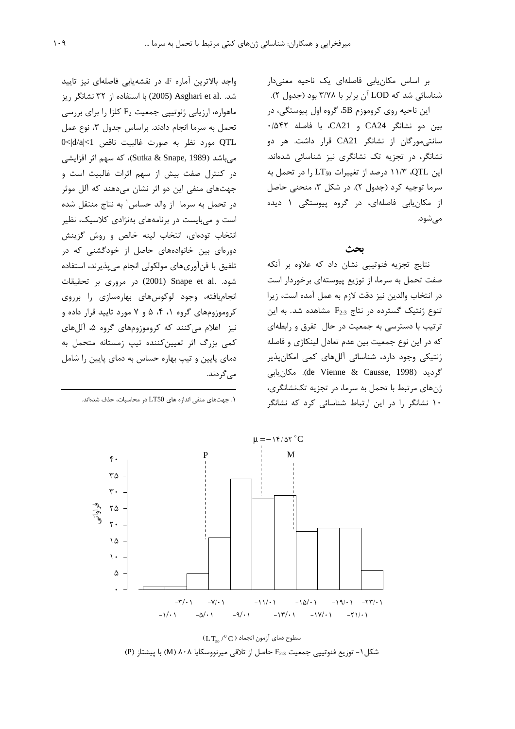بر اساس مکان پاہی فاصلهای یک ناحیه معنیدار شناسائی شد که LOD آن برابر با ۳/۷۸ بود (جدول ۲). این ناحیه روی کروموزم 5B، گروه اول پیوستگی، در بين دو نشانگر CA24 و CA21، با فاصله ۰/۵۴۲ سانتی،مورگان از نشانگر CA21 قرار داشت. هر دو نشانگر، در تجزیه تک نشانگری نیز شناسائی شدهاند. این QTL، ۱۱/۳ درصد از تغییرات LT50 را در تحمل به سرما توجیه کرد (جدول ۲). در شکل ۳، منحنی حاصل از مکان یابی فاصلهای، در گروه پیوستگی ۱ دیده مے شود.

#### بحث

نتایج تجزیه فنوتیپی نشان داد که علاوه بر آنکه صفت تحمل به سرما، از توزیع پیوستهای برخوردار است در انتخاب والدين نيز دقت لازم به عمل آمده است، زيرا تنوع ژنتیک گسترده در نتاج  $F_{2:3}$  مشاهده شد. به این ترتیب با دسترسی به جمعیت در حال تفرق و رابطهای که در این نوع جمعیت بین عدم تعادل لینکاژی و فاصله ژنتیکی وجود دارد، شناسائی آللهای کمی امکان پذیر گردید (de Vienne & Causse, 1998). مكان يابى ژنهای مرتبط با تحمل به سرما، در تجزیه تکنشانگری، ۱۰ نشانگر را در این ارتباط شناسائی کرد که نشانگر

واجد بالاترين آماره F، در نقشهيابي فاصلهاي نيز تاييد شد. .Asghari et al (2005) با استفاده از ٣٢ نشانگر ريز ماهواره، ارزیابی ژنوتییی جمعیت F2 کلزا را برای بررسی تحمل به سرما انجام دادند. براساس جدول ٣، نوع عمل OTL مورد نظر به صورت غالبيت ناقص 0<|d/a|<1 میباشد (Sutka & Snape, 1989)، که سهم اثر افزایشی در کنترل صفت بیش از سهم اثرات غالبیت است و جهتهای منفی این دو اثر نشان میدهند که آلل موثر در تحمل به سرما از والد حساس' به نتاج منتقل شده است و میبایست در برنامههای بهنژادی کلاسیک، نظیر انتخاب تودهای، انتخاب لینه خالص و روش گزینش دورهای بین خانوادههای حاصل از خودگشنی که در تلفيق با فن آوري هاي مولكولي انجام مي پذيرند، استفاده شود. Snape et al. در مروری بر تحقیقات انجامیافته، وجود لوکوسهای بهارهسازی را برروی کروموزومهای گروه ۰، ۴، ۵ و ۷ مورد تایید قرار داده و نیز اعلام می کنند که کروموزومهای گروه ۵، آللهای کمی بزرگ اثر تعیینکننده تیپ زمستانه متحمل به دمای پایین و تیپ بهاره حساس به دمای پایین را شامل مے گردند.

۱. جهتهای منفی اندازه های LT50 در محاسبات، حذف شدهاند.



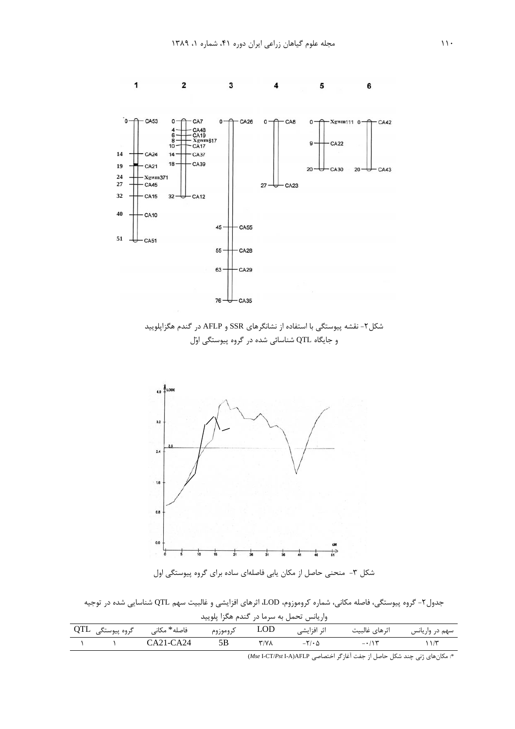

شکل ۲- نقشه پیوستگی با استفاده از نشانگرهای SSR و AFLP در گندم هگزاپلویید و جایگاه QTL شناسائی شده در گروه پیوستگی اوّل



شکل ۳- منحنی حاصل از مکان یابی فاصلهای ساده برای گروه پیوستگی اول

جدول۲- گروه پیوستگی، فاصله مکانی، شماره کروموزوم، LOD، اثرهای افزایشی و غالبیت سهم QTL شناسایی شده در توجیه واربانس تحمل به سرما در گنده هگزا بلویید

| وارياعس تاحمل به سرما در احمام مانرا، پنوييتا |                   |              |          |              |                        |                               |                |  |  |
|-----------------------------------------------|-------------------|--------------|----------|--------------|------------------------|-------------------------------|----------------|--|--|
|                                               | گروه پیوستگی۔ QTL | فاصله* مكانے | كروموزوم | <b>LOD</b>   | اثر افزایشی            | اثرهاى غالبيت                 | سهم در واریانس |  |  |
|                                               |                   | $CA21-CA24$  |          | $Y/Y\Lambda$ | $-\nabla/\cdot \Delta$ | $ \cdot$ $\wedge$ $\breve{r}$ | ۱۱/۲           |  |  |

\*: مكان هاى ژنى چند شكل حاصل از جفت آغاز گر اختصاصى Mse I-CT/Pst I-A)AFLP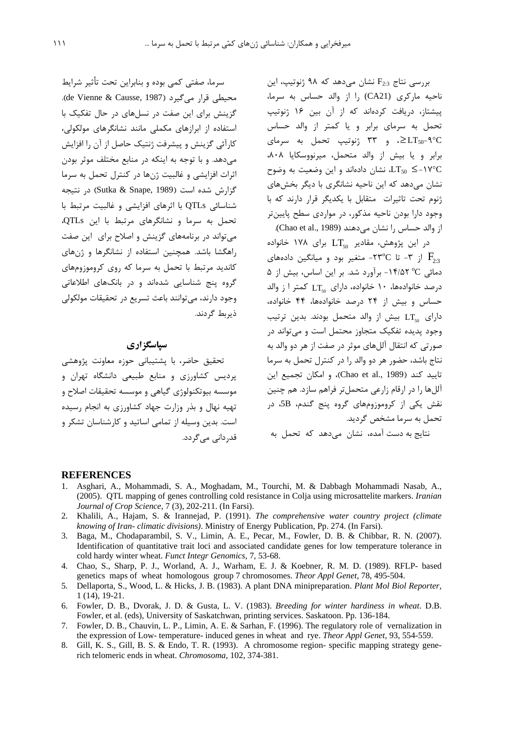$_{\rm H_{2:3}}$  بررسی نتاج  $_{\rm F_{2:3}}$  نشان میدهد که ۹۸ ژنوتیپ، این .<br>ذ .<br>ناحیه مارکری (CA21) را از والد حساس به سرما، سشتان دریافت کردهاند که از آن بین ۱۶ ژنوتیب <u>:</u> تحمل به سرمای برابر و یا کمتر از والد حساس د و ۳۳ ژنوتیپ تحمل به سرمای ZLT $_{50}$ ۹°C <u>:</u> داد و با بیش از والد متحمل، میرنووسکایا ۸۰۸، <u>:</u> نشان دادهاند و این وضعیت به وضوح LT50  $\leq$  - ۱۷°C .<br>نشان مردهد که این ناحیه نشانگری با دیگر بخش های .<br>توم تحت تاثيرات متقابل با يكديگ قرار دارند كه با .<br>ذ وجود دارا بودن ناجيه مذكور، در موارد*ي سطح* بابت; تر از والد حساس را نشان میدهند (Chao et al., 1989).

در این پژوهش، مقادیر  $\Gamma_{\rm 50}$  برای ۱۷۸ خانواده .<br>ذ از ۳- تا ۲۳°C- متغیر بود و میانگین دادههای  $\rm{F}_{2:3}$ 0 مائی "0° 1۴/۵۲ - برآورد شد. بر این اساس، بیش از درصد خانوادهها، ۱۰ خانواده، دارای  $\Gamma_{\rm g_0}$  کمتر ا ز والد .<br>ن .<br>ن حساس و پیش از ۲۴ درصد خانوادهها، ۴۴ خانواده، j .<br>ذ  $\mathcal{L}$ دارای  $\mathop{\rm LT}\nolimits_{50}$  بیش از والد متحمل بودند. بدین ترتیب .<br>وحود بدیده تفکیک متحاوز محتمل است و مرتواند د. صورتي كه انتقال آلا هاي موثر در صفت از هر دو والد به .<br>نتاج باشد، حضور هر دو والد را در کنترل تحمل به سرما  $_{\rm i}$ تاييد كند (Chao et al., 1989)، و امكان تجميع اين آللها را در ارقام زارعي متحملتر فراهم سازد. هم چنين .<br>نقش یکی از کروموزومهای گروه پنج گندم، 5B، در تحمل به سرما مشخص گردید.

.<br>نتایج به دست آمده، نشان مے دهد که تحمل به

سرما، صفتی کمی بوده و بنادان تحت تأثیر شرایط .(de Vienne & Causse, 1987). گزینش دای این صفت در نسا های در حال تفکیک با استفاده از ادازها*ی* مکملی مانند نشانگرهای مولکولی، كارآئي گزينش و بيشرفت ژنتيک حاصل از آن را افزايش مردهد. و با توجه به اینکه در منابع مختلف موثر بودن اثرات افزايشي و غالبيت ژنها در كنترل تحمل به سرما گزارش شده است (Sutka & Snape, 1989) در نتیجه شناسائی QTLs با اثرهای افزایشی و غالبیت مرتبط با .<br>تحمل به سرما و نشانگرهای مرتبط با این QTLs. مرتواند د. برنامههای گزینش و اصلاح برای این صفت .اهگشا باشد. همچنین استفاده از نشانگرها و شهای کاندید مرتبط با تحمل به سرما که روی کروموزومهای گروه بنج شناسایی شدهاند و در بانکهای اطلاعاتی وجود دارند، مے توانند باعث تسریع در تحقیقات مولکولی ذب بط گردند.

#### سپاسگزاري

تحقیق حاضی با بشتیبانی جوزه معاونت بژوهشی د دست کشاورزی و منابع طبیعی دانشگاه تقران و موسسه بیوتکنولوژ*ی گ*یاهی و موسسه تحقیقات اصلاح و تمیه نهال و بنی وزارت حماد کشاورزی به انجام رسیده است. بدین وسیله از تمامے اساتید و کارشناسان تشکر و قد، دان*ی می گ*ردد.

#### **REFERENCES**

- 1. Asghari, A., Mohammadi, S. A., Moghadam, M., Tourchi, M. & Dabbagh Mohammadi Nasab, A., (2005). QTL mapping of genes controlling cold resistance in Colja using microsattelite markers. *Iranian Journal of Crop Science*, 7 (3), 202-211. (In Farsi).
- 2. Khalili, A., Hajam, S. & Irannejad, P. (1991). *The comprehensive water country project (climate knowing of Iran- climatic divisions)*. Ministry of Energy Publication, Pp. 274. (In Farsi).
- 3. Baga, M., Chodaparambil, S. V., Limin, A. E., Pecar, M., Fowler, D. B. & Chibbar, R. N. (2007). Identification of quantitative trait loci and associated candidate genes for low temperature tolerance in cold hardy winter wheat. *Funct Integr Genomics*, 7, 53-68.
- 4. Chao, S., Sharp, P. J., Worland, A. J., Warham, E. J. & Koebner, R. M. D. (1989). RFLP- based genetics maps of wheat homologous group 7 chromosomes. *Theor Appl Genet*, 78, 495-504.
- 5. Dellaporta, S., Wood, L. & Hicks, J. B. (1983). A plant DNA minipreparation. *Plant Mol Biol Reporter*, 1 (14), 19-21.
- 6. Fowler, D. B., Dvorak, J. D. & Gusta, L. V. (1983). *Breeding for winter hardiness in wheat*. D.B. Fowler, et al. (eds), University of Saskatchwan, printing services. Saskatoon. Pp. 136-184.
- 7. Fowler, D. B., Chauvin, L. P., Limin, A. E. & Sarhan, F. (1996). The regulatory role of vernalization in the expression of Low- temperature- induced genes in wheat and rye. *Theor Appl Genet*, 93, 554-559.
- 8. Gill, K. S., Gill, B. S. & Endo, T. R. (1993). A chromosome region- specific mapping strategy generich telomeric ends in wheat. *Chromosoma*, 102, 374-381.